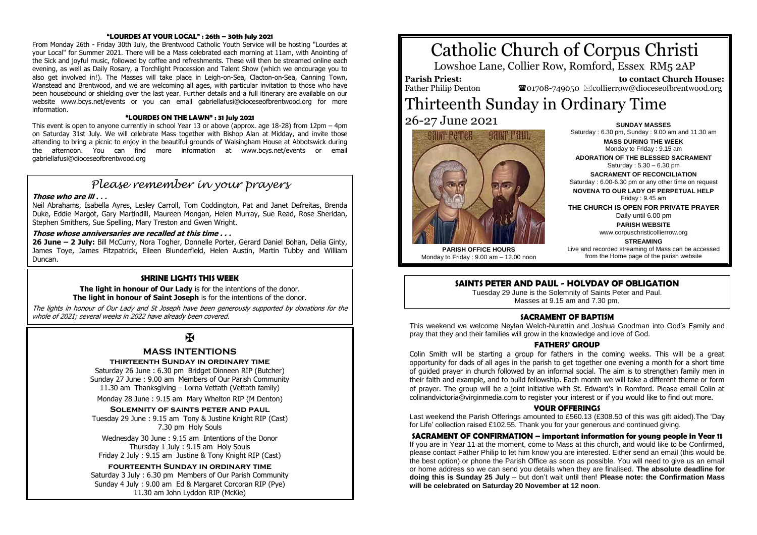#### **"LOURDES AT YOUR LOCAL" : 26th – 30th July 2021**

From Monday 26th - Friday 30th July, the Brentwood Catholic Youth Service will be hosting "Lourdes at your Local" for Summer 2021. There will be a Mass celebrated each morning at 11am, with Anointing of the Sick and joyful music, followed by coffee and refreshments. These will then be streamed online each evening, as well as Daily Rosary, a Torchlight Procession and Talent Show (which we encourage you to also get involved in!). The Masses will take place in Leigh-on-Sea, Clacton-on-Sea, Canning Town, Wanstead and Brentwood, and we are welcoming all ages, with particular invitation to those who have been housebound or shielding over the last year. Further details and a full itinerary are available on our website www.bcys.net/events or you can email gabriellafusi@dioceseofbrentwood.org for more information.

#### **"LOURDES ON THE LAWN" : 31 July 2021**

This event is open to anyone currently in school Year 13 or above (approx. age 18-28) from 12pm – 4pm on Saturday 31st July. We will celebrate Mass together with Bishop Alan at Midday, and invite those attending to bring a picnic to enjoy in the beautiful grounds of Walsingham House at Abbotswick during the afternoon. You can find more information at www.bcys.net/events or email gabriellafusi@dioceseofbrentwood.org

## *Please remember in your prayers*

#### **Those who are ill . . .**

Neil Abrahams, Isabella Ayres, Lesley Carroll, Tom Coddington, Pat and Janet Defreitas, Brenda Duke, Eddie Margot, Gary Martindill, Maureen Mongan, Helen Murray, Sue Read, Rose Sheridan, Stephen Smithers, Sue Spelling, Mary Treston and Gwen Wright.

#### **Those whose anniversaries are recalled at this time . . .**

**26 June – 2 July:** Bill McCurry, Nora Togher, Donnelle Porter, Gerard Daniel Bohan, Delia Ginty, James Toye, James Fitzpatrick, Eileen Blunderfield, Helen Austin, Martin Tubby and William Duncan.

#### **SHRINE LIGHTS THIS WEEK**

**The light in honour of Our Lady** is for the intentions of the donor. **The light in honour of Saint Joseph** is for the intentions of the donor.

The lights in honour of Our Lady and St Joseph have been generously supported by donations for the whole of 2021; several weeks in 2022 have already been covered.

## $\overline{\mathbf{X}}$

#### **MASS INTENTIONS**

#### **thirteenth Sunday in ordinary time**

Saturday 26 June : 6.30 pm Bridget Dinneen RIP (Butcher) Sunday 27 June : 9.00 am Members of Our Parish Community 11.30 am Thanksgiving – Lorna Vettath (Vettath family)

Monday 28 June : 9.15 am Mary Whelton RIP (M Denton)

#### **Solemnity of saints peter and paul**

Tuesday 29 June : 9.15 am Tony & Justine Knight RIP (Cast) 7.30 pm Holy Souls

Wednesday 30 June : 9.15 am Intentions of the Donor Thursday 1 July : 9.15 am Holy Souls Friday 2 July : 9.15 am Justine & Tony Knight RIP (Cast)

#### **fourteenth Sunday in ordinary time**

Saturday 3 July : 6.30 pm Members of Our Parish Community Sunday 4 July : 9.00 am Ed & Margaret Corcoran RIP (Pye) 11.30 am John Lyddon RIP (McKie)

# Catholic Church of Corpus Christi

Lowshoe Lane, Collier Row, Romford, Essex RM5 2AP

**Parish Priest:** Father Philip Denton

 **to contact Church House:**  $\mathbf{\Omega}$ 01708-749050  $\boxtimes$ collierrow@dioceseofbrentwood.org

> **SUNDAY MASSES** Saturday : 6.30 pm, Sunday : 9.00 am and 11.30 am **MASS DURING THE WEEK** Monday to Friday : 9.15 am **ADORATION OF THE BLESSED SACRAMENT** Saturday : 5.30 – 6.30 pm **SACRAMENT OF RECONCILIATION** Saturday : 6.00-6.30 pm or any other time on request **NOVENA TO OUR LADY OF PERPETUAL HELP** Friday : 9.45 am **THE CHURCH IS OPEN FOR PRIVATE PRAYER** Daily until 6.00 pm **PARISH WEBSITE**

# Thirteenth Sunday in Ordinary Time 26-27 June 2021



www.corpuschristicollierrow.org **STREAMING**

**PARISH OFFICE HOURS** Monday to Friday : 9.00 am – 12.00 noon Live and recorded streaming of Mass can be accessed from the Home page of the parish website

#### **SAINTS PETER AND PAUL - HOLYDAY OF OBLIGATION**

Tuesday 29 June is the Solemnity of Saints Peter and Paul. Masses at 9.15 am and 7.30 pm.

#### **SACRAMENT OF BAPTISM**

This weekend we welcome Neylan Welch-Nurettin and Joshua Goodman into God's Family and pray that they and their families will grow in the knowledge and love of God.

#### **FATHERS' GROUP**

Colin Smith will be starting a group for fathers in the coming weeks. This will be a great opportunity for dads of all ages in the parish to get together one evening a month for a short time of guided prayer in church followed by an informal social. The aim is to strengthen family men in their faith and example, and to build fellowship. Each month we will take a different theme or form of prayer. The group will be a joint initiative with St. Edward's in Romford. Please email Colin at colinandvictoria@virginmedia.com to register your interest or if you would like to find out more.

#### **YOUR OFFERINGS**

Last weekend the Parish Offerings amounted to £560.13 (£308.50 of this was gift aided).The 'Day for Life' collection raised £102.55. Thank you for your generous and continued giving.

#### **SACRAMENT OF CONFIRMATION – important information for young people in Year 11**

If you are in Year 11 at the moment, come to Mass at this church, and would like to be Confirmed, please contact Father Philip to let him know you are interested. Either send an email (this would be the best option) or phone the Parish Office as soon as possible. You will need to give us an email or home address so we can send you details when they are finalised. **The absolute deadline for doing this is Sunday 25 July** – but don't wait until then! **Please note: the Confirmation Mass will be celebrated on Saturday 20 November at 12 noon**.